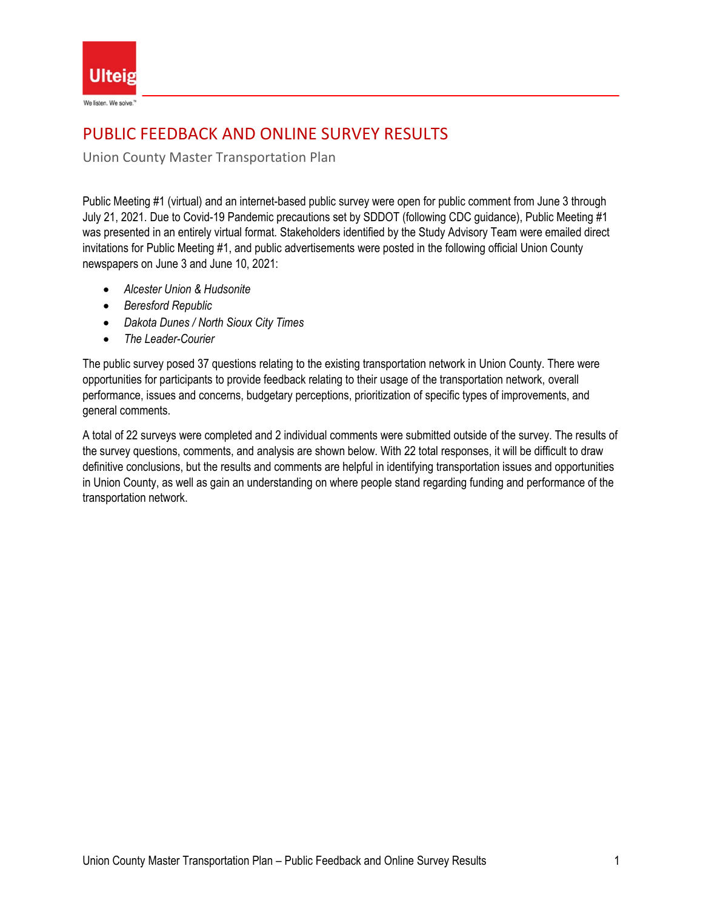

# PUBLIC FEEDBACK AND ONLINE SURVEY RESULTS

Union County Master Transportation Plan

Public Meeting #1 (virtual) and an internet-based public survey were open for public comment from June 3 through July 21, 2021. Due to Covid-19 Pandemic precautions set by SDDOT (following CDC guidance), Public Meeting #1 was presented in an entirely virtual format. Stakeholders identified by the Study Advisory Team were emailed direct invitations for Public Meeting #1, and public advertisements were posted in the following official Union County newspapers on June 3 and June 10, 2021:

- *Alcester Union & Hudsonite*
- *Beresford Republic*
- *Dakota Dunes / North Sioux City Times*
- *The Leader-Courier*

The public survey posed 37 questions relating to the existing transportation network in Union County. There were opportunities for participants to provide feedback relating to their usage of the transportation network, overall performance, issues and concerns, budgetary perceptions, prioritization of specific types of improvements, and general comments.

A total of 22 surveys were completed and 2 individual comments were submitted outside of the survey. The results of the survey questions, comments, and analysis are shown below. With 22 total responses, it will be difficult to draw definitive conclusions, but the results and comments are helpful in identifying transportation issues and opportunities in Union County, as well as gain an understanding on where people stand regarding funding and performance of the transportation network.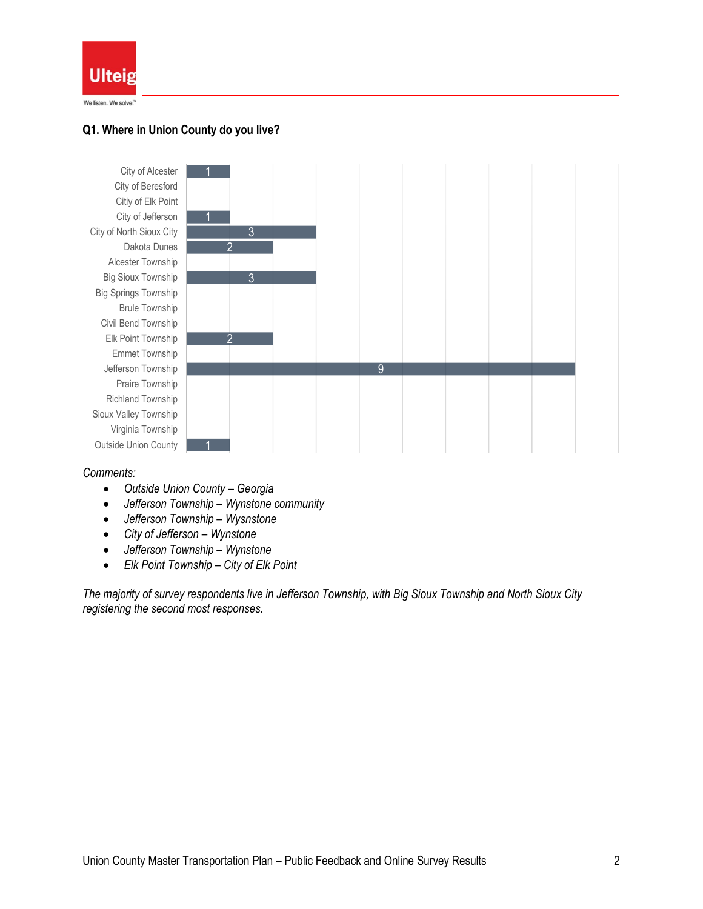

## **Q1. Where in Union County do you live?**



#### *Comments:*

- *Outside Union County – Georgia*
- *Jefferson Township – Wynstone community*
- *Jefferson Township – Wysnstone*
- *City of Jefferson – Wynstone*
- *Jefferson Township – Wynstone*
- *Elk Point Township – City of Elk Point*

*The majority of survey respondents live in Jefferson Township, with Big Sioux Township and North Sioux City registering the second most responses.*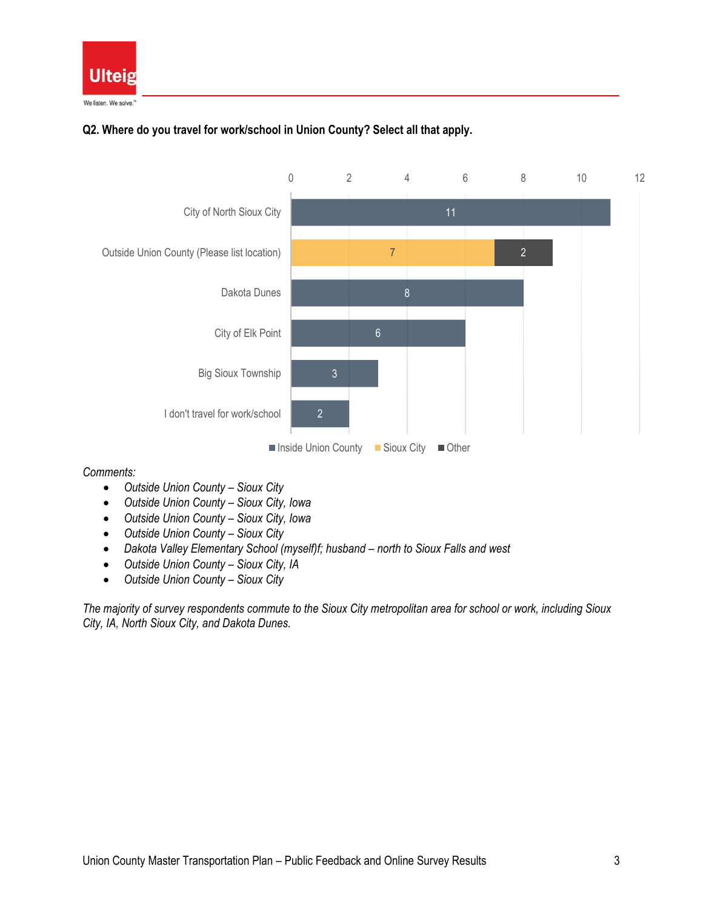

# **Q2. Where do you travel for work/school in Union County? Select all that apply.**



*Comments:*

- *Outside Union County – Sioux City*
- *Outside Union County – Sioux City, Iowa*
- *Outside Union County – Sioux City, Iowa*
- *Outside Union County – Sioux City*
- Dakota Valley Elementary School (myself)f; husband north to Sioux Falls and west
- *Outside Union County – Sioux City, IA*
- *Outside Union County – Sioux City*

*The majority of survey respondents commute to the Sioux City metropolitan area for school or work, including Sioux City, IA, North Sioux City, and Dakota Dunes.*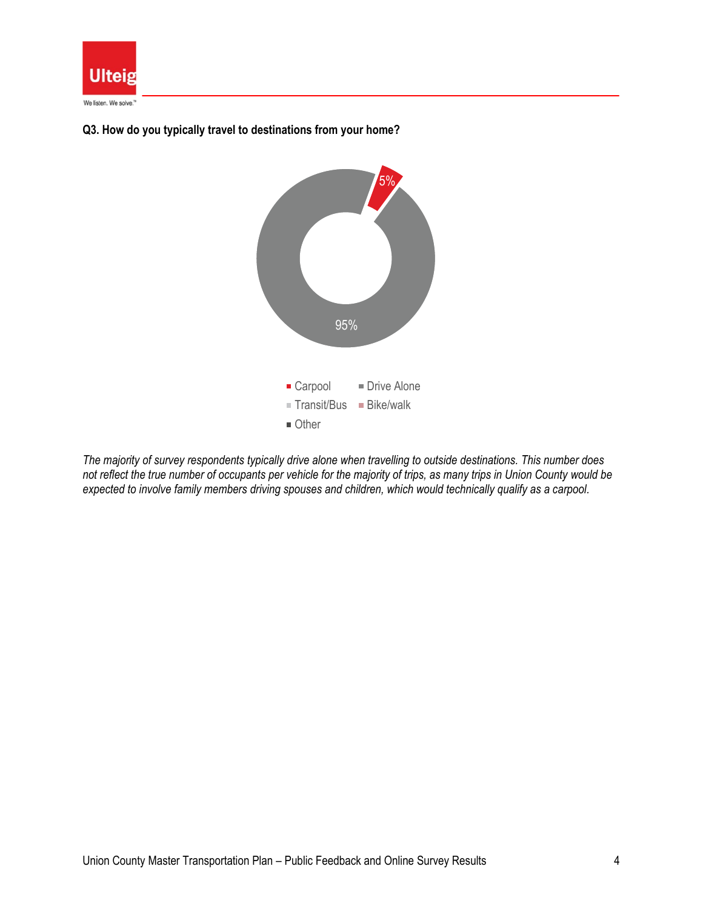



#### **Q3. How do you typically travel to destinations from your home?**

*The majority of survey respondents typically drive alone when travelling to outside destinations. This number does not reflect the true number of occupants per vehicle for the majority of trips, as many trips in Union County would be expected to involve family members driving spouses and children, which would technically qualify as a carpool.*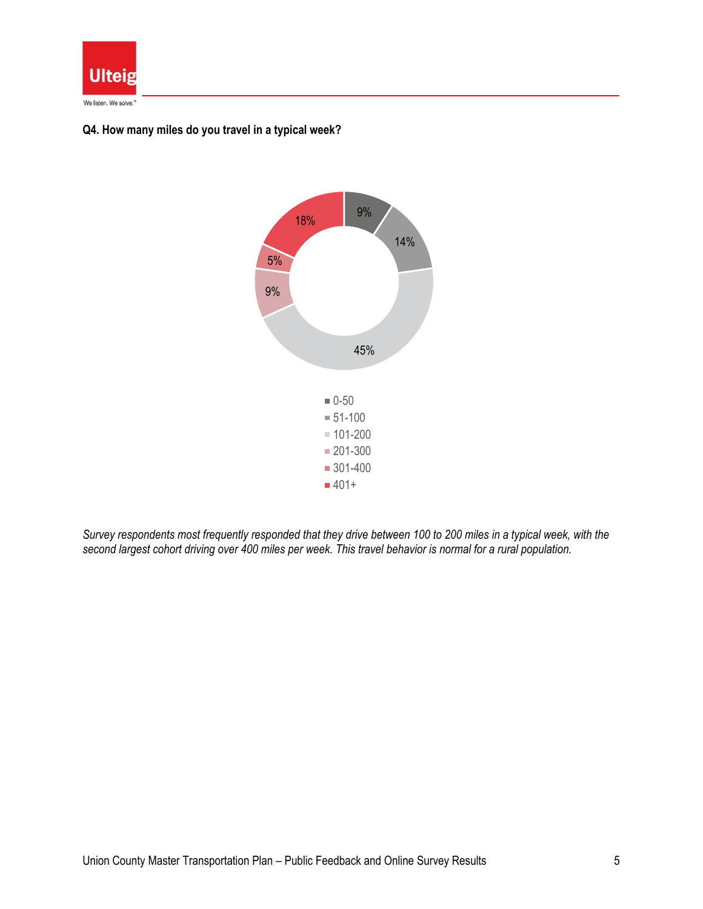

## **Q4. How many miles do you travel in a typical week?**



*Survey respondents most frequently responded that they drive between 100 to 200 miles in a typical week, with the second largest cohort driving over 400 miles per week. This travel behavior is normal for a rural population.*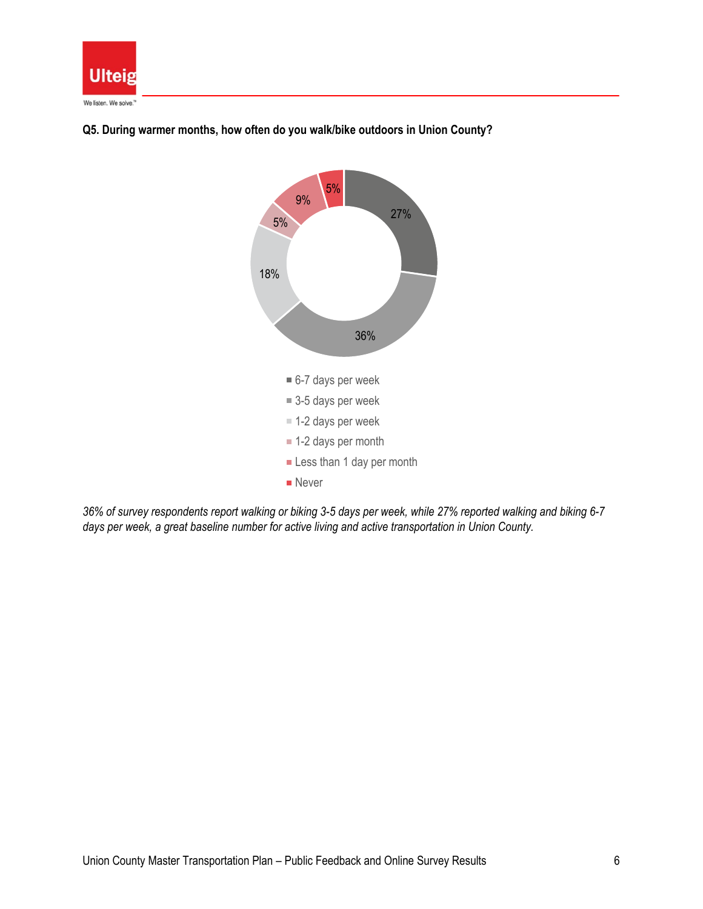



## **Q5. During warmer months, how often do you walk/bike outdoors in Union County?**

*36% of survey respondents report walking or biking 3-5 days per week, while 27% reported walking and biking 6-7 days per week, a great baseline number for active living and active transportation in Union County.*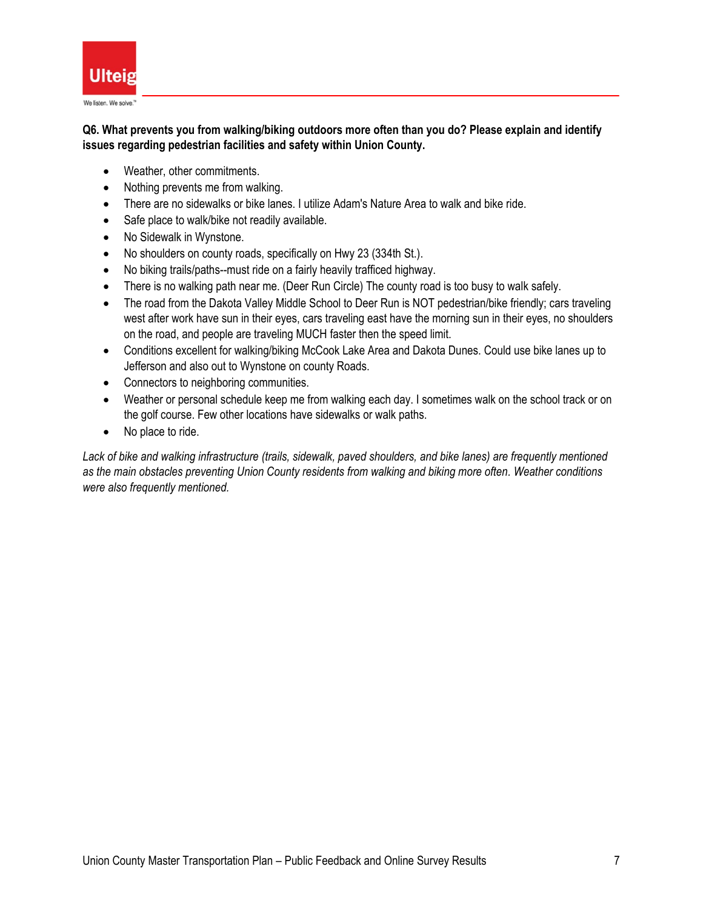

## **Q6. What prevents you from walking/biking outdoors more often than you do? Please explain and identify issues regarding pedestrian facilities and safety within Union County.**

- Weather, other commitments.
- Nothing prevents me from walking.
- There are no sidewalks or bike lanes. I utilize Adam's Nature Area to walk and bike ride.
- Safe place to walk/bike not readily available.
- No Sidewalk in Wynstone.
- No shoulders on county roads, specifically on Hwy 23 (334th St.).
- No biking trails/paths--must ride on a fairly heavily trafficed highway.
- There is no walking path near me. (Deer Run Circle) The county road is too busy to walk safely.
- The road from the Dakota Valley Middle School to Deer Run is NOT pedestrian/bike friendly; cars traveling west after work have sun in their eyes, cars traveling east have the morning sun in their eyes, no shoulders on the road, and people are traveling MUCH faster then the speed limit.
- Conditions excellent for walking/biking McCook Lake Area and Dakota Dunes. Could use bike lanes up to Jefferson and also out to Wynstone on county Roads.
- Connectors to neighboring communities.
- Weather or personal schedule keep me from walking each day. I sometimes walk on the school track or on the golf course. Few other locations have sidewalks or walk paths.
- No place to ride.

*Lack of bike and walking infrastructure (trails, sidewalk, paved shoulders, and bike lanes) are frequently mentioned as the main obstacles preventing Union County residents from walking and biking more often. Weather conditions were also frequently mentioned.*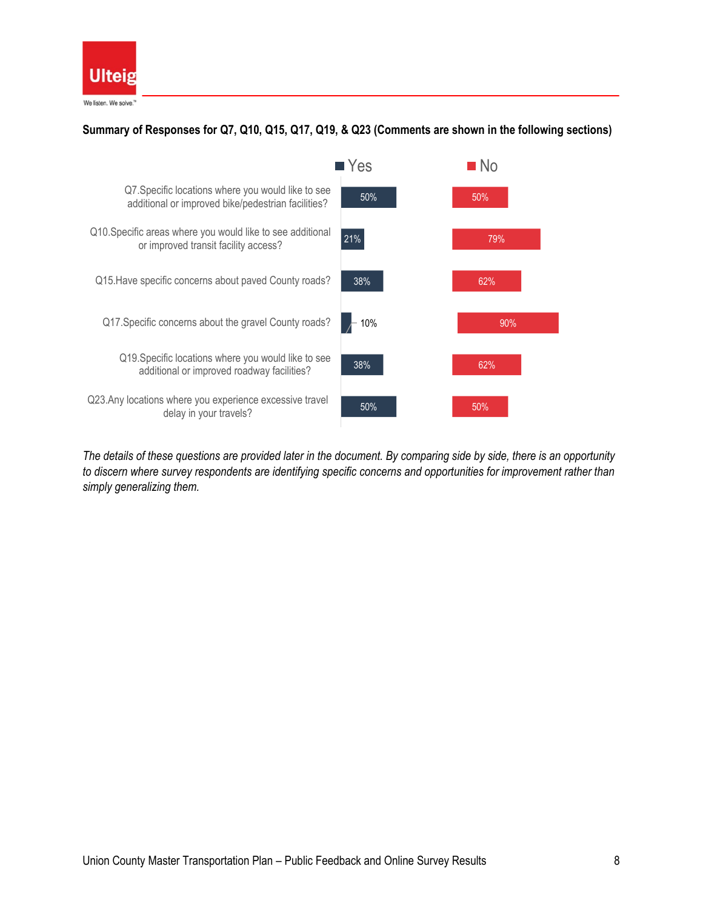

# **Summary of Responses for Q7, Q10, Q15, Q17, Q19, & Q23 (Comments are shown in the following sections)**



*The details of these questions are provided later in the document. By comparing side by side, there is an opportunity to discern where survey respondents are identifying specific concerns and opportunities for improvement rather than simply generalizing them.*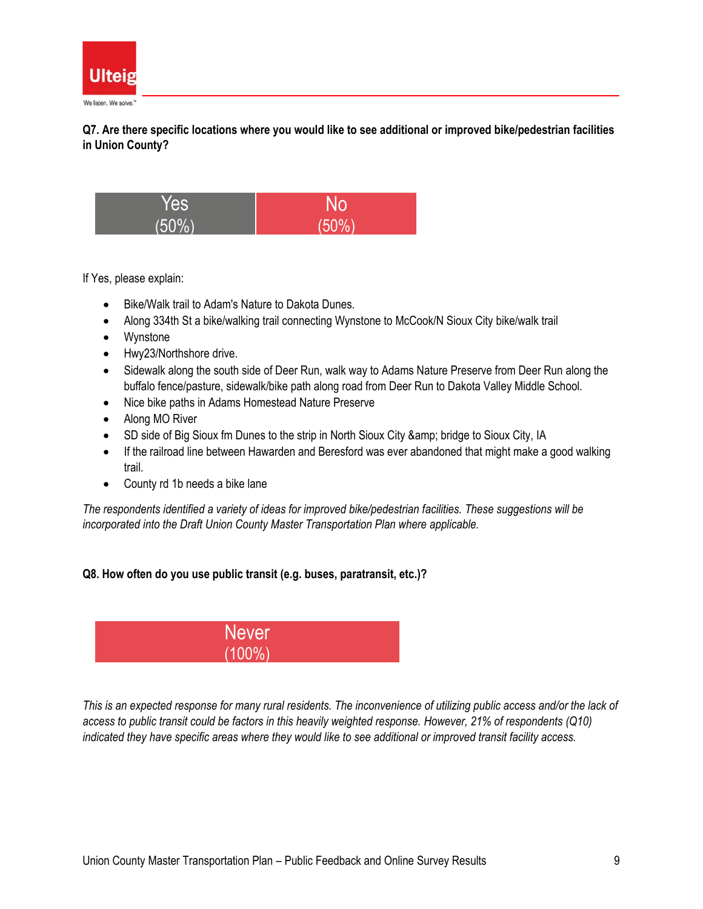

**Q7. Are there specific locations where you would like to see additional or improved bike/pedestrian facilities in Union County?**



If Yes, please explain:

- Bike/Walk trail to Adam's Nature to Dakota Dunes.
- Along 334th St a bike/walking trail connecting Wynstone to McCook/N Sioux City bike/walk trail
- Wynstone
- Hwy23/Northshore drive.
- Sidewalk along the south side of Deer Run, walk way to Adams Nature Preserve from Deer Run along the buffalo fence/pasture, sidewalk/bike path along road from Deer Run to Dakota Valley Middle School.
- Nice bike paths in Adams Homestead Nature Preserve
- Along MO River
- SD side of Big Sioux fm Dunes to the strip in North Sioux City & amp; bridge to Sioux City, IA
- If the railroad line between Hawarden and Beresford was ever abandoned that might make a good walking trail.
- County rd 1b needs a bike lane

*The respondents identified a variety of ideas for improved bike/pedestrian facilities. These suggestions will be incorporated into the Draft Union County Master Transportation Plan where applicable.*

### **Q8. How often do you use public transit (e.g. buses, paratransit, etc.)?**



*This is an expected response for many rural residents. The inconvenience of utilizing public access and/or the lack of access to public transit could be factors in this heavily weighted response. However, 21% of respondents (Q10) indicated they have specific areas where they would like to see additional or improved transit facility access.*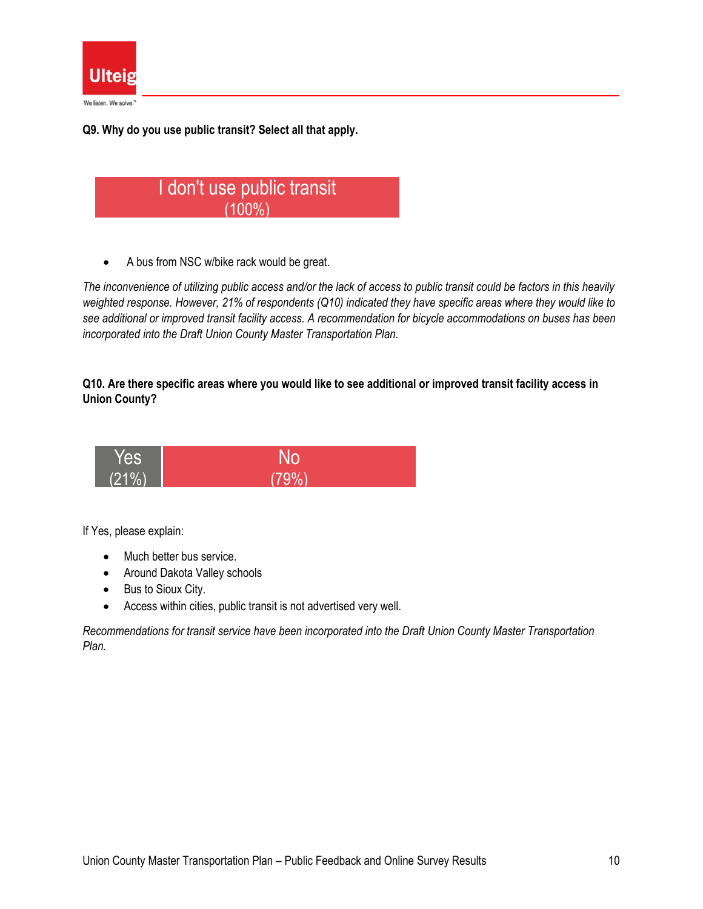

**Q9. Why do you use public transit? Select all that apply.**



• A bus from NSC w/bike rack would be great.

*The inconvenience of utilizing public access and/or the lack of access to public transit could be factors in this heavily weighted response. However, 21% of respondents (Q10) indicated they have specific areas where they would like to see additional or improved transit facility access. A recommendation for bicycle accommodations on buses has been incorporated into the Draft Union County Master Transportation Plan.*

### **Q10. Are there specific areas where you would like to see additional or improved transit facility access in Union County?**



If Yes, please explain:

- Much better bus service.
- Around Dakota Valley schools
- Bus to Sioux City.
- Access within cities, public transit is not advertised very well.

*Recommendations for transit service have been incorporated into the Draft Union County Master Transportation Plan.*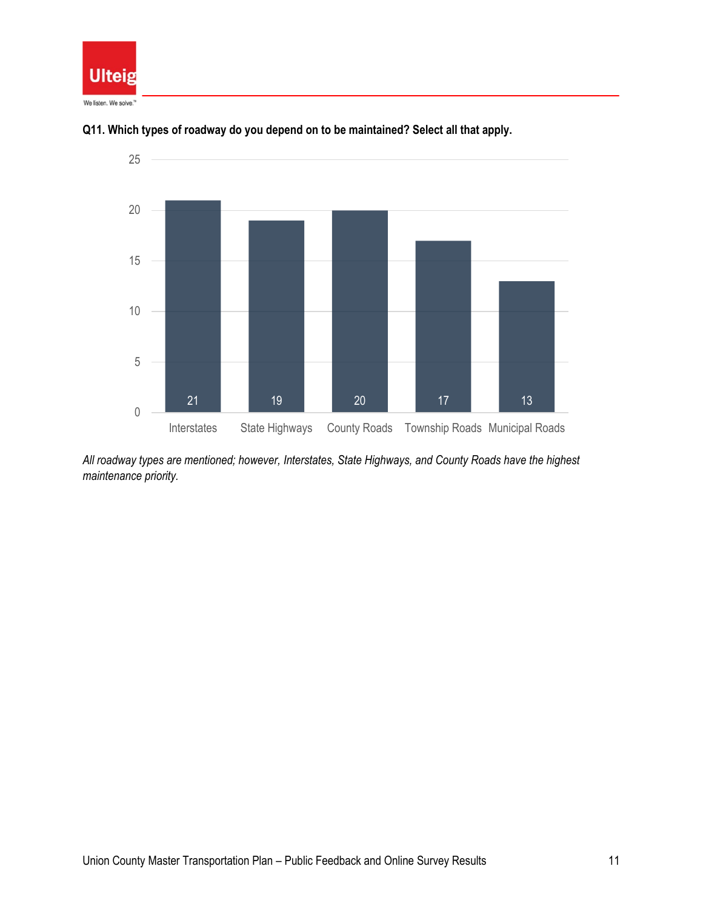





*All roadway types are mentioned; however, Interstates, State Highways, and County Roads have the highest maintenance priority.*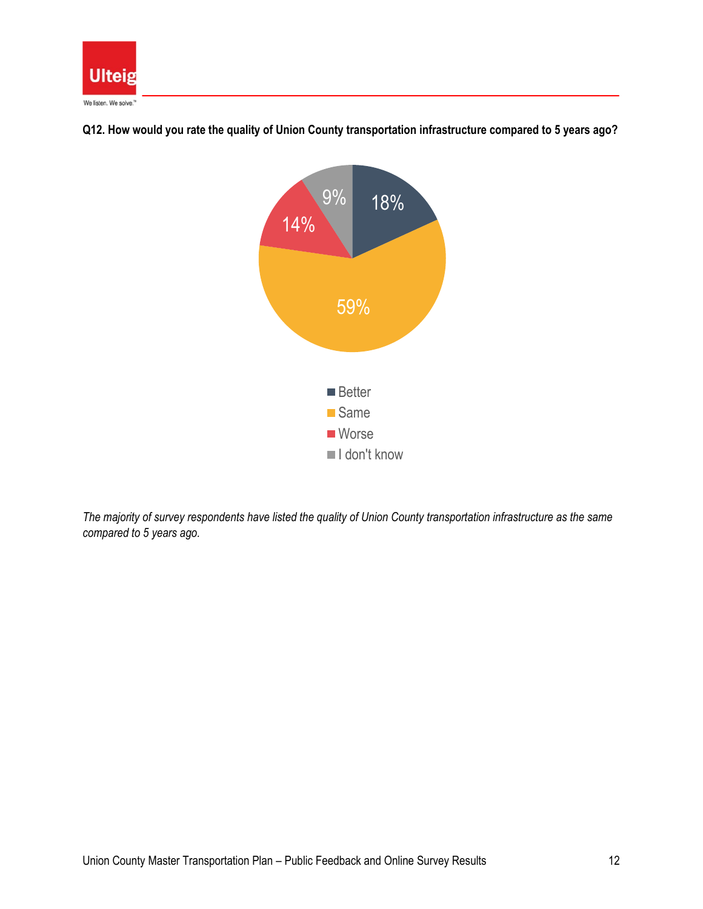



**Q12. How would you rate the quality of Union County transportation infrastructure compared to 5 years ago?**

*The majority of survey respondents have listed the quality of Union County transportation infrastructure as the same compared to 5 years ago.*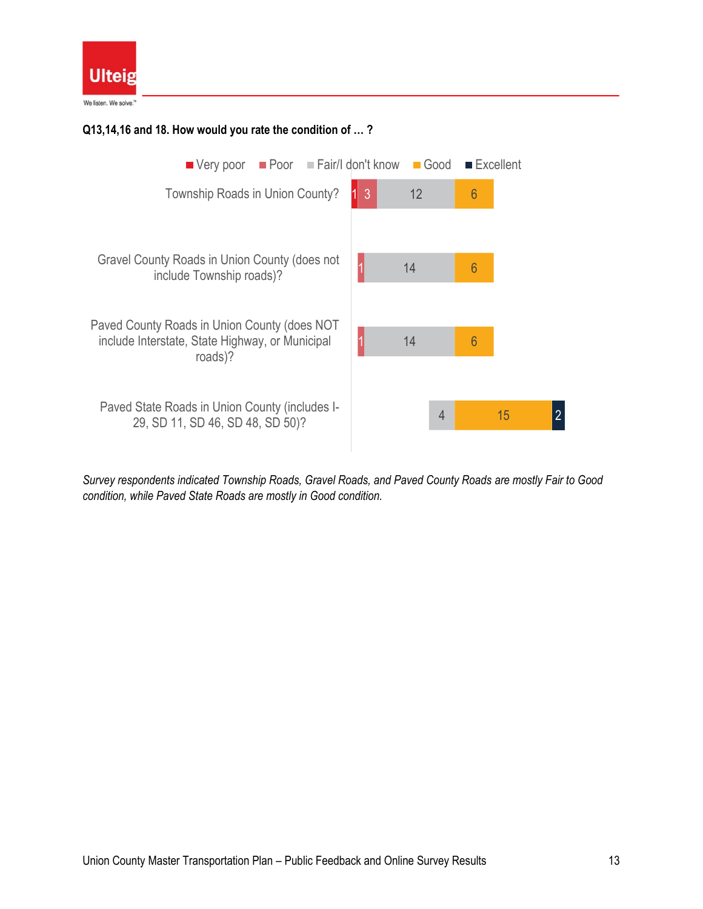

## **Q13,14,16 and 18. How would you rate the condition of … ?**



*Survey respondents indicated Township Roads, Gravel Roads, and Paved County Roads are mostly Fair to Good condition, while Paved State Roads are mostly in Good condition.*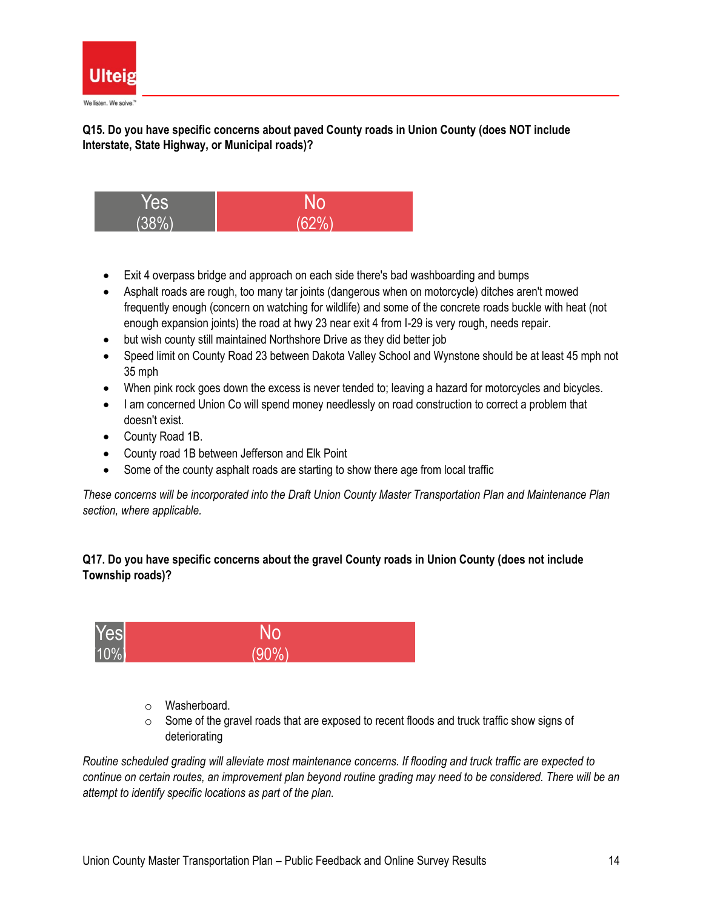

**Q15. Do you have specific concerns about paved County roads in Union County (does NOT include Interstate, State Highway, or Municipal roads)?**



- Exit 4 overpass bridge and approach on each side there's bad washboarding and bumps
- Asphalt roads are rough, too many tar joints (dangerous when on motorcycle) ditches aren't mowed frequently enough (concern on watching for wildlife) and some of the concrete roads buckle with heat (not enough expansion joints) the road at hwy 23 near exit 4 from I-29 is very rough, needs repair.
- but wish county still maintained Northshore Drive as they did better job
- Speed limit on County Road 23 between Dakota Valley School and Wynstone should be at least 45 mph not 35 mph
- When pink rock goes down the excess is never tended to; leaving a hazard for motorcycles and bicycles.
- I am concerned Union Co will spend money needlessly on road construction to correct a problem that doesn't exist.
- County Road 1B.
- County road 1B between Jefferson and Elk Point
- Some of the county asphalt roads are starting to show there age from local traffic

*These concerns will be incorporated into the Draft Union County Master Transportation Plan and Maintenance Plan section, where applicable.*

# **Q17. Do you have specific concerns about the gravel County roads in Union County (does not include Township roads)?**



- o Washerboard.
- $\circ$  Some of the gravel roads that are exposed to recent floods and truck traffic show signs of deteriorating

*Routine scheduled grading will alleviate most maintenance concerns. If flooding and truck traffic are expected to continue on certain routes, an improvement plan beyond routine grading may need to be considered. There will be an attempt to identify specific locations as part of the plan.*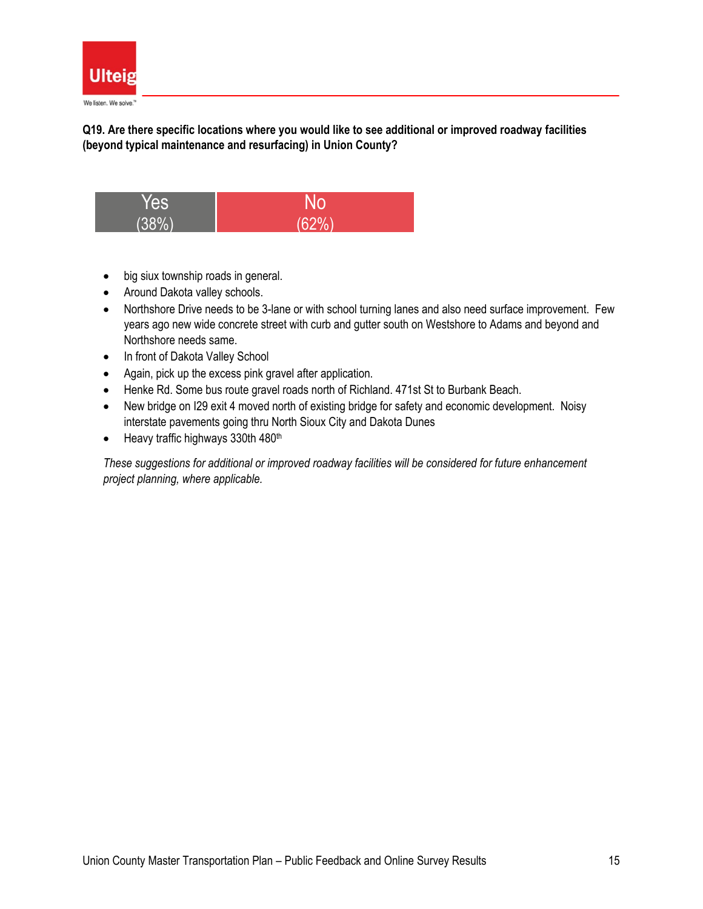

**Q19. Are there specific locations where you would like to see additional or improved roadway facilities (beyond typical maintenance and resurfacing) in Union County?**



- big siux township roads in general.
- Around Dakota valley schools.
- Northshore Drive needs to be 3-lane or with school turning lanes and also need surface improvement. Few years ago new wide concrete street with curb and gutter south on Westshore to Adams and beyond and Northshore needs same.
- In front of Dakota Valley School
- Again, pick up the excess pink gravel after application.
- Henke Rd. Some bus route gravel roads north of Richland. 471st St to Burbank Beach.
- New bridge on I29 exit 4 moved north of existing bridge for safety and economic development. Noisy interstate pavements going thru North Sioux City and Dakota Dunes
- Heavy traffic highways 330th 480<sup>th</sup>

*These suggestions for additional or improved roadway facilities will be considered for future enhancement project planning, where applicable.*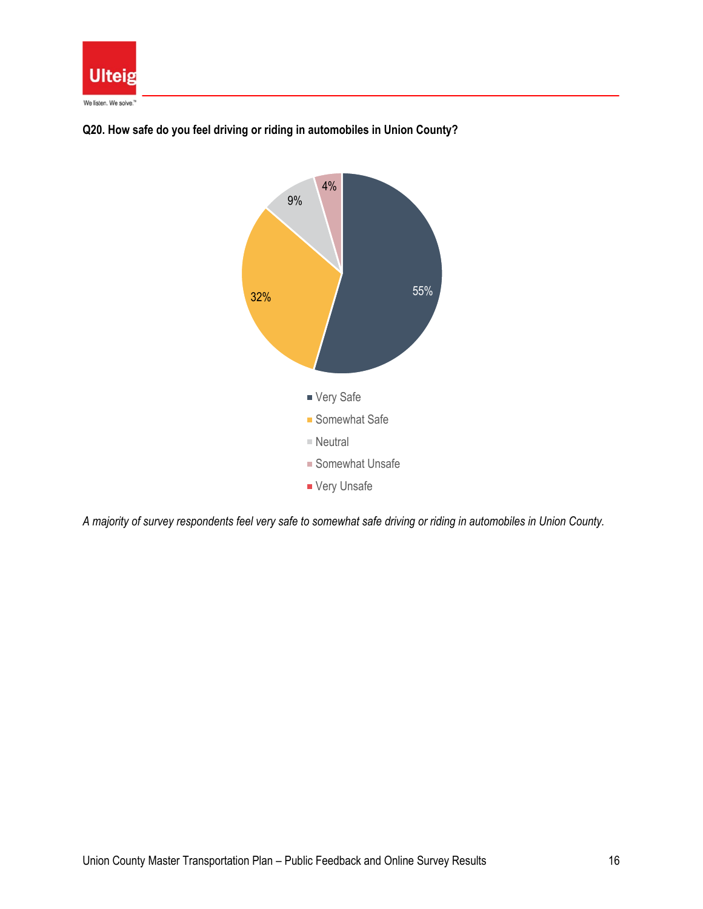



**Q20. How safe do you feel driving or riding in automobiles in Union County?**

*A majority of survey respondents feel very safe to somewhat safe driving or riding in automobiles in Union County.*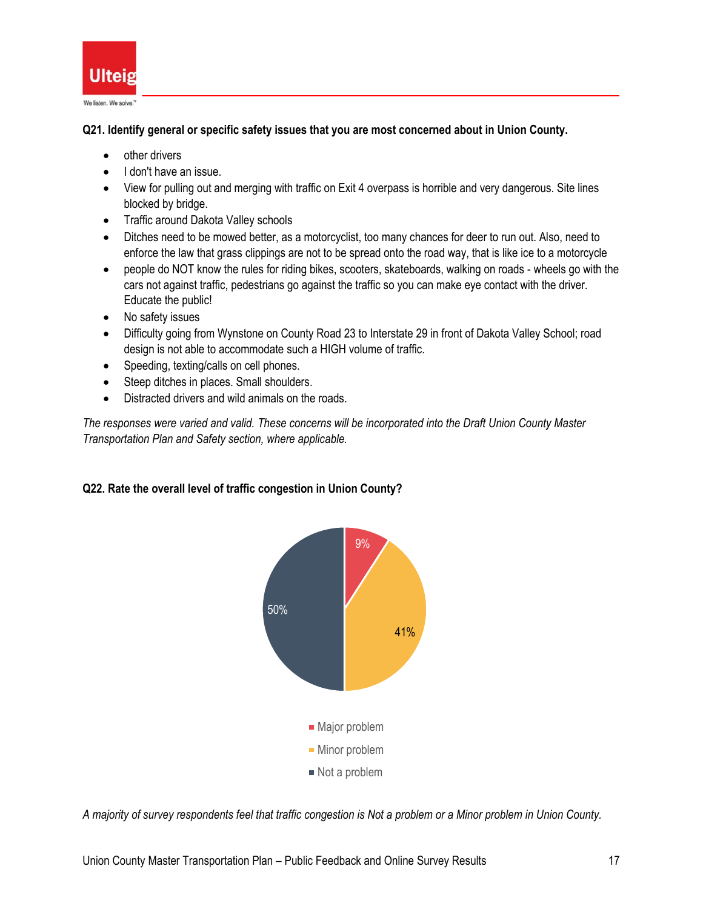

**Q21. Identify general or specific safety issues that you are most concerned about in Union County.**

- other drivers
- I don't have an issue.
- View for pulling out and merging with traffic on Exit 4 overpass is horrible and very dangerous. Site lines blocked by bridge.
- Traffic around Dakota Valley schools
- Ditches need to be mowed better, as a motorcyclist, too many chances for deer to run out. Also, need to enforce the law that grass clippings are not to be spread onto the road way, that is like ice to a motorcycle
- people do NOT know the rules for riding bikes, scooters, skateboards, walking on roads wheels go with the cars not against traffic, pedestrians go against the traffic so you can make eye contact with the driver. Educate the public!
- No safety issues
- Difficulty going from Wynstone on County Road 23 to Interstate 29 in front of Dakota Valley School; road design is not able to accommodate such a HIGH volume of traffic.
- Speeding, texting/calls on cell phones.
- Steep ditches in places. Small shoulders.
- Distracted drivers and wild animals on the roads.

*The responses were varied and valid. These concerns will be incorporated into the Draft Union County Master Transportation Plan and Safety section, where applicable.*

### **Q22. Rate the overall level of traffic congestion in Union County?**



*A majority of survey respondents feel that traffic congestion is Not a problem or a Minor problem in Union County.*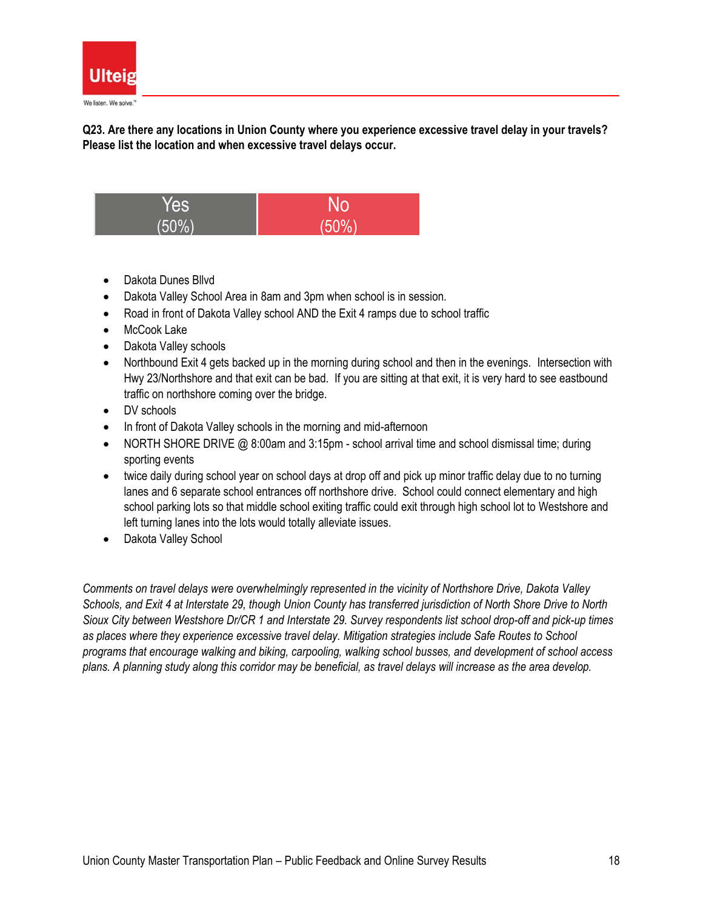

**Q23. Are there any locations in Union County where you experience excessive travel delay in your travels? Please list the location and when excessive travel delays occur.**



- Dakota Dunes Bllvd
- Dakota Valley School Area in 8am and 3pm when school is in session.
- Road in front of Dakota Valley school AND the Exit 4 ramps due to school traffic
- McCook Lake
- Dakota Valley schools
- Northbound Exit 4 gets backed up in the morning during school and then in the evenings. Intersection with Hwy 23/Northshore and that exit can be bad. If you are sitting at that exit, it is very hard to see eastbound traffic on northshore coming over the bridge.
- DV schools
- In front of Dakota Valley schools in the morning and mid-afternoon
- NORTH SHORE DRIVE @ 8:00am and 3:15pm school arrival time and school dismissal time; during sporting events
- twice daily during school year on school days at drop off and pick up minor traffic delay due to no turning lanes and 6 separate school entrances off northshore drive. School could connect elementary and high school parking lots so that middle school exiting traffic could exit through high school lot to Westshore and left turning lanes into the lots would totally alleviate issues.
- Dakota Valley School

*Comments on travel delays were overwhelmingly represented in the vicinity of Northshore Drive, Dakota Valley Schools, and Exit 4 at Interstate 29, though Union County has transferred jurisdiction of North Shore Drive to North Sioux City between Westshore Dr/CR 1 and Interstate 29. Survey respondents list school drop-off and pick-up times as places where they experience excessive travel delay. Mitigation strategies include Safe Routes to School programs that encourage walking and biking, carpooling, walking school busses, and development of school access plans. A planning study along this corridor may be beneficial, as travel delays will increase as the area develop.*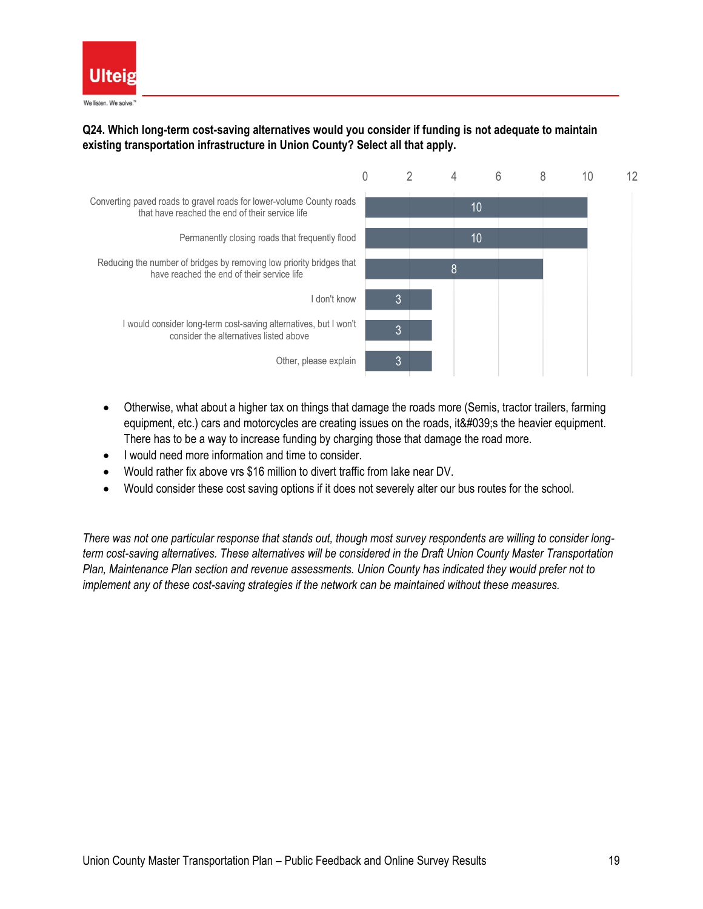

## **Q24. Which long-term cost-saving alternatives would you consider if funding is not adequate to maintain existing transportation infrastructure in Union County? Select all that apply.**



- Otherwise, what about a higher tax on things that damage the roads more (Semis, tractor trailers, farming equipment, etc.) cars and motorcycles are creating issues on the roads, it & #039; s the heavier equipment. There has to be a way to increase funding by charging those that damage the road more.
- I would need more information and time to consider.
- Would rather fix above vrs \$16 million to divert traffic from lake near DV.
- Would consider these cost saving options if it does not severely alter our bus routes for the school.

*There was not one particular response that stands out, though most survey respondents are willing to consider longterm cost-saving alternatives. These alternatives will be considered in the Draft Union County Master Transportation Plan, Maintenance Plan section and revenue assessments. Union County has indicated they would prefer not to implement any of these cost-saving strategies if the network can be maintained without these measures.*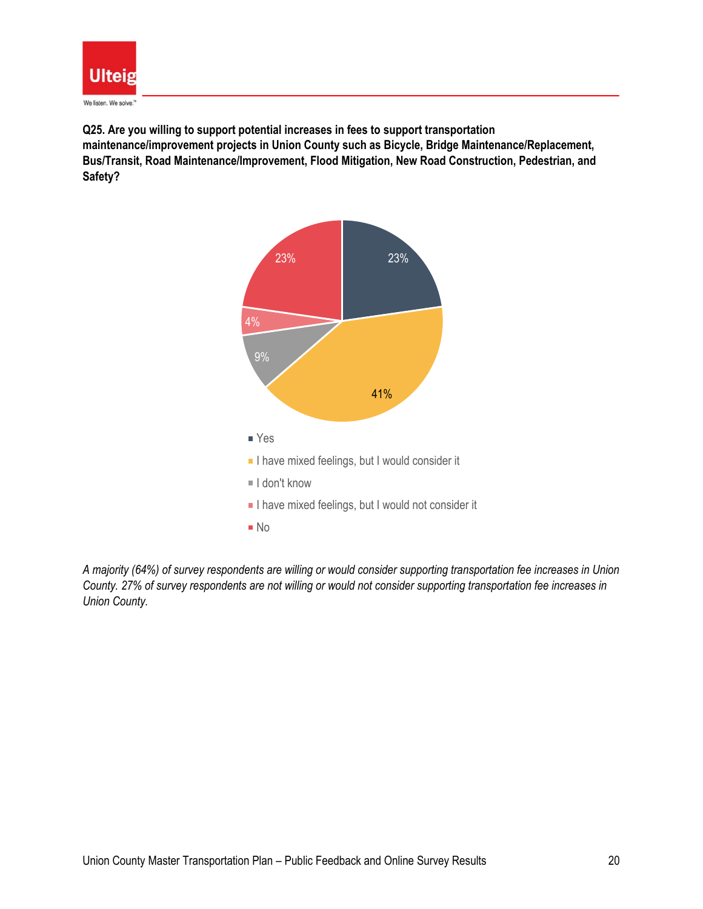

**Q25. Are you willing to support potential increases in fees to support transportation maintenance/improvement projects in Union County such as Bicycle, Bridge Maintenance/Replacement, Bus/Transit, Road Maintenance/Improvement, Flood Mitigation, New Road Construction, Pedestrian, and Safety?**



*A majority (64%) of survey respondents are willing or would consider supporting transportation fee increases in Union County. 27% of survey respondents are not willing or would not consider supporting transportation fee increases in Union County.*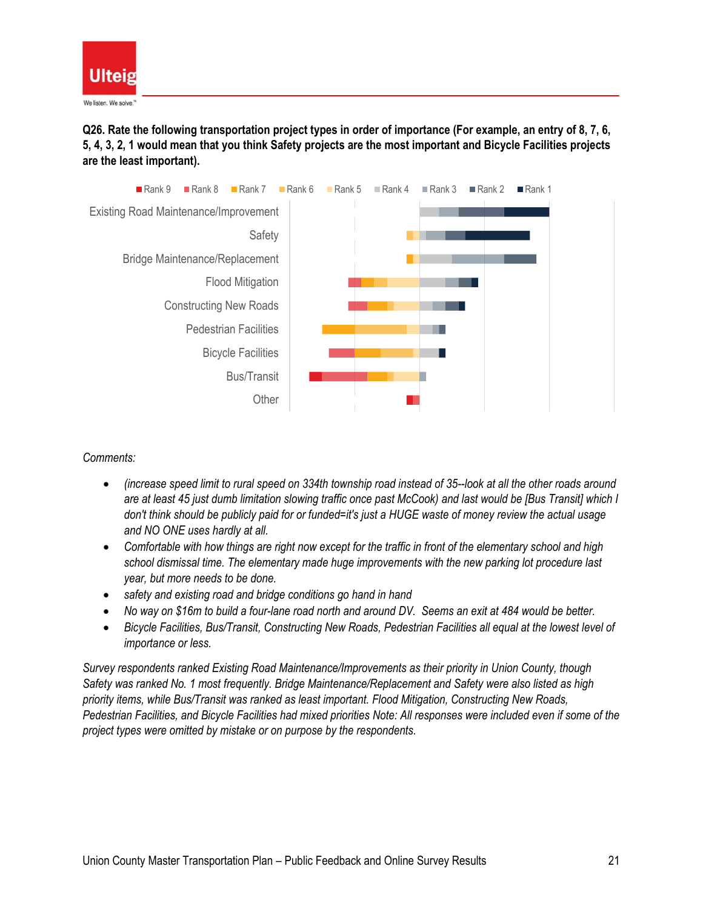

**Q26. Rate the following transportation project types in order of importance (For example, an entry of 8, 7, 6, 5, 4, 3, 2, 1 would mean that you think Safety projects are the most important and Bicycle Facilities projects are the least important).**



*Comments:*

- *(increase speed limit to rural speed on 334th township road instead of 35--look at all the other roads around are at least 45 just dumb limitation slowing traffic once past McCook) and last would be [Bus Transit] which I don't think should be publicly paid for or funded=it's just a HUGE waste of money review the actual usage and NO ONE uses hardly at all.*
- *Comfortable with how things are right now except for the traffic in front of the elementary school and high school dismissal time. The elementary made huge improvements with the new parking lot procedure last year, but more needs to be done.*
- *safety and existing road and bridge conditions go hand in hand*
- *No way on \$16m to build a four-lane road north and around DV. Seems an exit at 484 would be better.*
- *Bicycle Facilities, Bus/Transit, Constructing New Roads, Pedestrian Facilities all equal at the lowest level of importance or less.*

*Survey respondents ranked Existing Road Maintenance/Improvements as their priority in Union County, though Safety was ranked No. 1 most frequently. Bridge Maintenance/Replacement and Safety were also listed as high priority items, while Bus/Transit was ranked as least important. Flood Mitigation, Constructing New Roads, Pedestrian Facilities, and Bicycle Facilities had mixed priorities Note: All responses were included even if some of the project types were omitted by mistake or on purpose by the respondents.*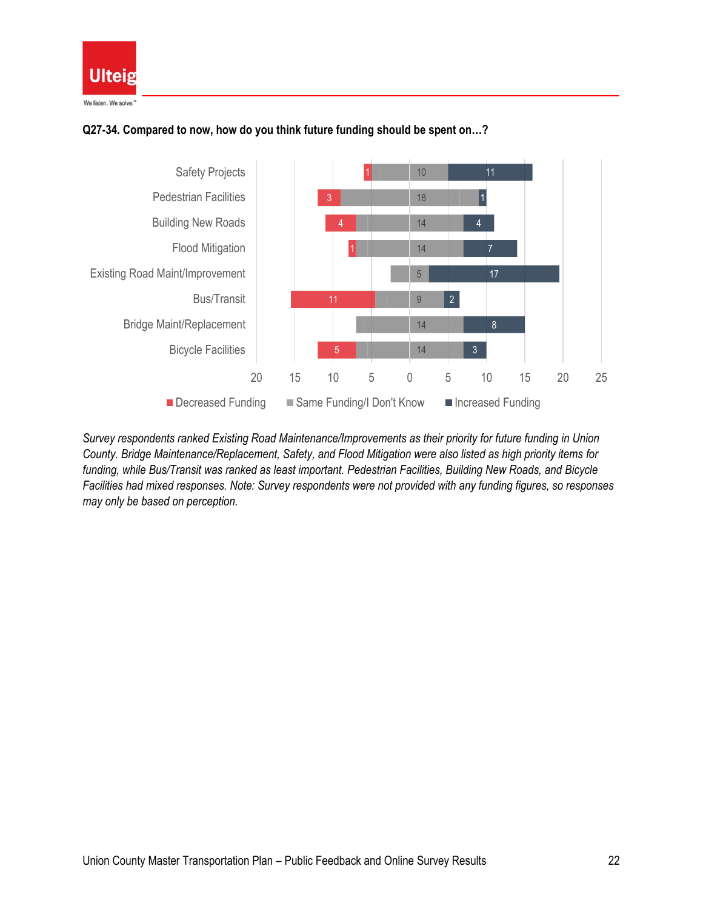

## **Q27-34. Compared to now, how do you think future funding should be spent on…?**



*Survey respondents ranked Existing Road Maintenance/Improvements as their priority for future funding in Union County. Bridge Maintenance/Replacement, Safety, and Flood Mitigation were also listed as high priority items for funding, while Bus/Transit was ranked as least important. Pedestrian Facilities, Building New Roads, and Bicycle Facilities had mixed responses. Note: Survey respondents were not provided with any funding figures, so responses may only be based on perception.*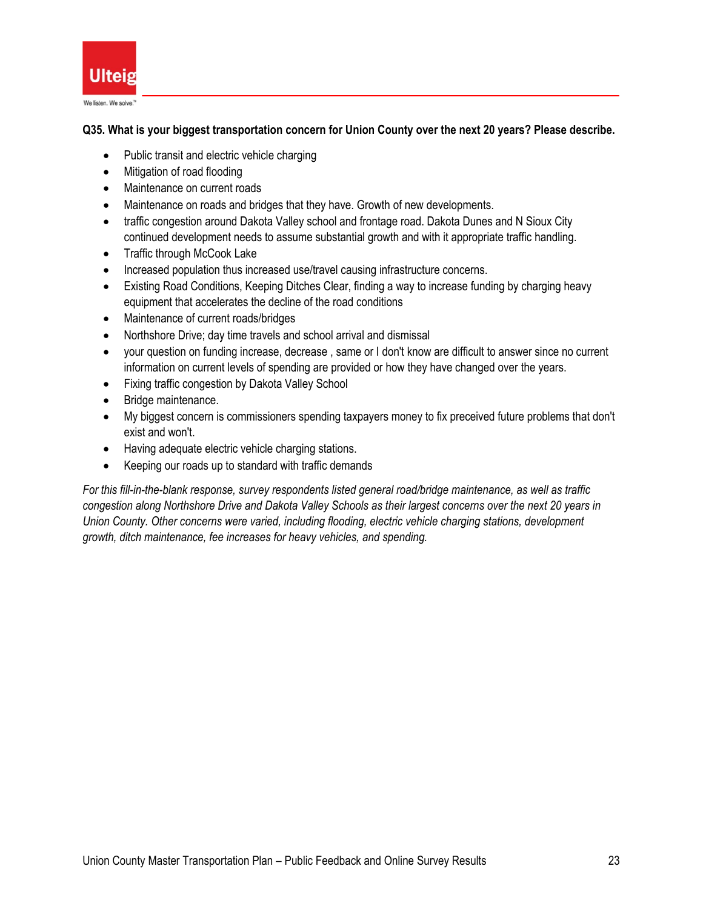

## **Q35. What is your biggest transportation concern for Union County over the next 20 years? Please describe.**

- Public transit and electric vehicle charging
- Mitigation of road flooding
- Maintenance on current roads
- Maintenance on roads and bridges that they have. Growth of new developments.
- traffic congestion around Dakota Valley school and frontage road. Dakota Dunes and N Sioux City continued development needs to assume substantial growth and with it appropriate traffic handling.
- Traffic through McCook Lake
- Increased population thus increased use/travel causing infrastructure concerns.
- Existing Road Conditions, Keeping Ditches Clear, finding a way to increase funding by charging heavy equipment that accelerates the decline of the road conditions
- Maintenance of current roads/bridges
- Northshore Drive; day time travels and school arrival and dismissal
- your question on funding increase, decrease , same or I don't know are difficult to answer since no current information on current levels of spending are provided or how they have changed over the years.
- Fixing traffic congestion by Dakota Valley School
- Bridge maintenance.
- My biggest concern is commissioners spending taxpayers money to fix preceived future problems that don't exist and won't.
- Having adequate electric vehicle charging stations.
- Keeping our roads up to standard with traffic demands

*For this fill-in-the-blank response, survey respondents listed general road/bridge maintenance, as well as traffic congestion along Northshore Drive and Dakota Valley Schools as their largest concerns over the next 20 years in Union County. Other concerns were varied, including flooding, electric vehicle charging stations, development growth, ditch maintenance, fee increases for heavy vehicles, and spending.*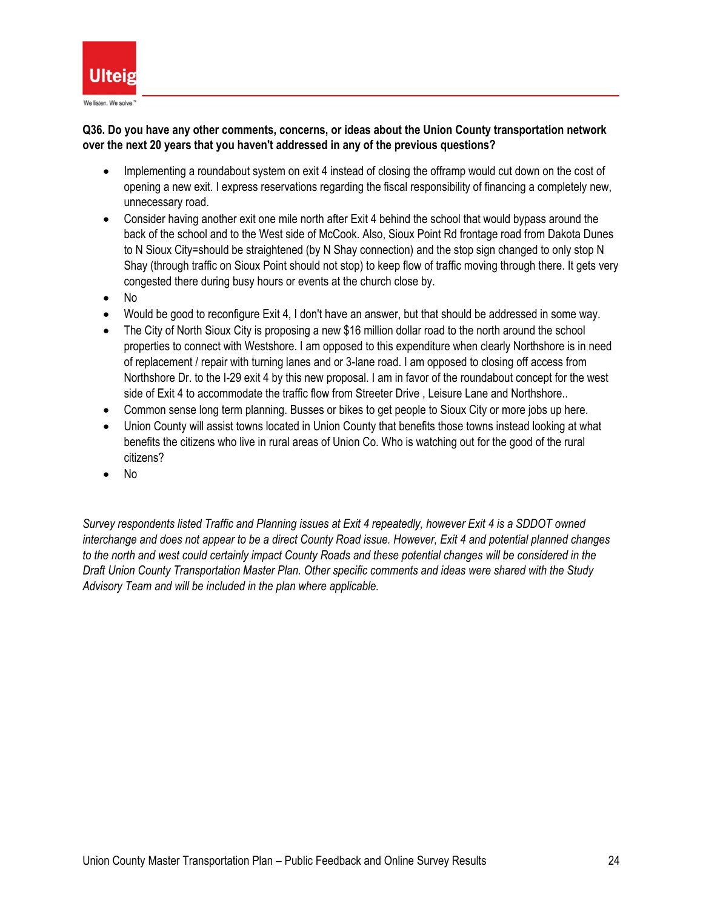

## **Q36. Do you have any other comments, concerns, or ideas about the Union County transportation network over the next 20 years that you haven't addressed in any of the previous questions?**

- Implementing a roundabout system on exit 4 instead of closing the offramp would cut down on the cost of opening a new exit. I express reservations regarding the fiscal responsibility of financing a completely new, unnecessary road.
- Consider having another exit one mile north after Exit 4 behind the school that would bypass around the back of the school and to the West side of McCook. Also, Sioux Point Rd frontage road from Dakota Dunes to N Sioux City=should be straightened (by N Shay connection) and the stop sign changed to only stop N Shay (through traffic on Sioux Point should not stop) to keep flow of traffic moving through there. It gets very congested there during busy hours or events at the church close by.
- No
- Would be good to reconfigure Exit 4, I don't have an answer, but that should be addressed in some way.
- The City of North Sioux City is proposing a new \$16 million dollar road to the north around the school properties to connect with Westshore. I am opposed to this expenditure when clearly Northshore is in need of replacement / repair with turning lanes and or 3-lane road. I am opposed to closing off access from Northshore Dr. to the I-29 exit 4 by this new proposal. I am in favor of the roundabout concept for the west side of Exit 4 to accommodate the traffic flow from Streeter Drive , Leisure Lane and Northshore..
- Common sense long term planning. Busses or bikes to get people to Sioux City or more jobs up here.
- Union County will assist towns located in Union County that benefits those towns instead looking at what benefits the citizens who live in rural areas of Union Co. Who is watching out for the good of the rural citizens?
- No

*Survey respondents listed Traffic and Planning issues at Exit 4 repeatedly, however Exit 4 is a SDDOT owned interchange and does not appear to be a direct County Road issue. However, Exit 4 and potential planned changes to the north and west could certainly impact County Roads and these potential changes will be considered in the Draft Union County Transportation Master Plan. Other specific comments and ideas were shared with the Study Advisory Team and will be included in the plan where applicable.*